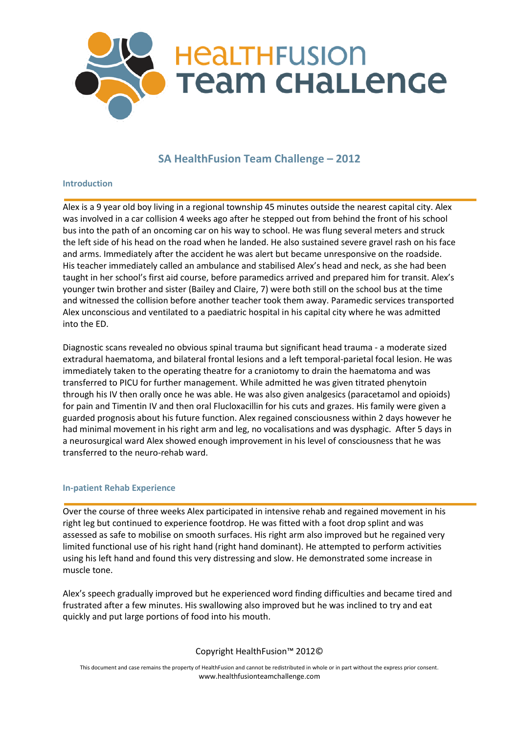

# **SA HealthFusion Team Challenge – 2012**

## **Introduction**

Alex is a 9 year old boy living in a regional township 45 minutes outside the nearest capital city. Alex was involved in a car collision 4 weeks ago after he stepped out from behind the front of his school bus into the path of an oncoming car on his way to school. He was flung several meters and struck the left side of his head on the road when he landed. He also sustained severe gravel rash on his face and arms. Immediately after the accident he was alert but became unresponsive on the roadside. His teacher immediately called an ambulance and stabilised Alex's head and neck, as she had been taught in her school's first aid course, before paramedics arrived and prepared him for transit. Alex's younger twin brother and sister (Bailey and Claire, 7) were both still on the school bus at the time and witnessed the collision before another teacher took them away. Paramedic services transported Alex unconscious and ventilated to a paediatric hospital in his capital city where he was admitted into the ED.

Diagnostic scans revealed no obvious spinal trauma but significant head trauma - a moderate sized extradural haematoma, and bilateral frontal lesions and a left temporal-parietal focal lesion. He was immediately taken to the operating theatre for a craniotomy to drain the haematoma and was transferred to PICU for further management. While admitted he was given titrated phenytoin through his IV then orally once he was able. He was also given analgesics (paracetamol and opioids) for pain and Timentin IV and then oral Flucloxacillin for his cuts and grazes. His family were given a guarded prognosis about his future function. Alex regained consciousness within 2 days however he had minimal movement in his right arm and leg, no vocalisations and was dysphagic. After 5 days in a neurosurgical ward Alex showed enough improvement in his level of consciousness that he was transferred to the neuro-rehab ward.

## **In-patient Rehab Experience**

Over the course of three weeks Alex participated in intensive rehab and regained movement in his right leg but continued to experience footdrop. He was fitted with a foot drop splint and was assessed as safe to mobilise on smooth surfaces. His right arm also improved but he regained very limited functional use of his right hand (right hand dominant). He attempted to perform activities using his left hand and found this very distressing and slow. He demonstrated some increase in muscle tone.

Alex's speech gradually improved but he experienced word finding difficulties and became tired and frustrated after a few minutes. His swallowing also improved but he was inclined to try and eat quickly and put large portions of food into his mouth.

# Copyright HealthFusion™ 2012©

This document and case remains the property of HealthFusion and cannot be redistributed in whole or in part without the express prior consent. www.healthfusionteamchallenge.com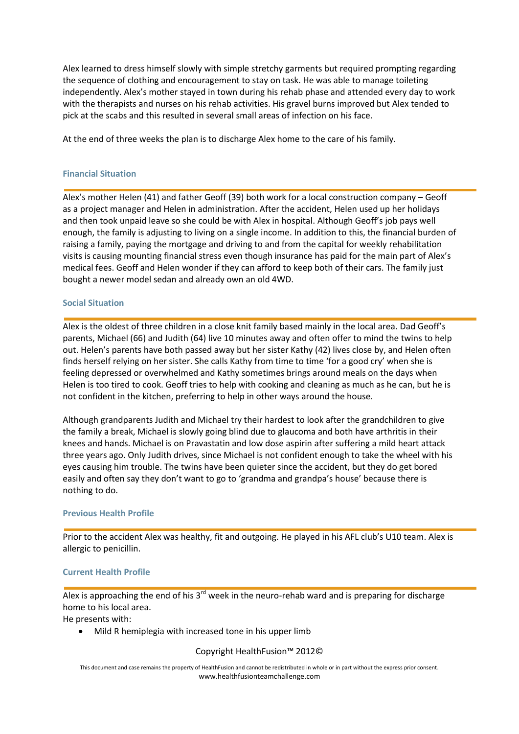Alex learned to dress himself slowly with simple stretchy garments but required prompting regarding the sequence of clothing and encouragement to stay on task. He was able to manage toileting independently. Alex's mother stayed in town during his rehab phase and attended every day to work with the therapists and nurses on his rehab activities. His gravel burns improved but Alex tended to pick at the scabs and this resulted in several small areas of infection on his face.

At the end of three weeks the plan is to discharge Alex home to the care of his family.

### **Financial Situation**

Alex's mother Helen (41) and father Geoff (39) both work for a local construction company – Geoff as a project manager and Helen in administration. After the accident, Helen used up her holidays and then took unpaid leave so she could be with Alex in hospital. Although Geoff's job pays well enough, the family is adjusting to living on a single income. In addition to this, the financial burden of raising a family, paying the mortgage and driving to and from the capital for weekly rehabilitation visits is causing mounting financial stress even though insurance has paid for the main part of Alex's medical fees. Geoff and Helen wonder if they can afford to keep both of their cars. The family just bought a newer model sedan and already own an old 4WD.

### **Social Situation**

Alex is the oldest of three children in a close knit family based mainly in the local area. Dad Geoff's parents, Michael (66) and Judith (64) live 10 minutes away and often offer to mind the twins to help out. Helen's parents have both passed away but her sister Kathy (42) lives close by, and Helen often finds herself relying on her sister. She calls Kathy from time to time 'for a good cry' when she is feeling depressed or overwhelmed and Kathy sometimes brings around meals on the days when Helen is too tired to cook. Geoff tries to help with cooking and cleaning as much as he can, but he is not confident in the kitchen, preferring to help in other ways around the house.

Although grandparents Judith and Michael try their hardest to look after the grandchildren to give the family a break, Michael is slowly going blind due to glaucoma and both have arthritis in their knees and hands. Michael is on Pravastatin and low dose aspirin after suffering a mild heart attack three years ago. Only Judith drives, since Michael is not confident enough to take the wheel with his eyes causing him trouble. The twins have been quieter since the accident, but they do get bored easily and often say they don't want to go to 'grandma and grandpa's house' because there is nothing to do.

#### **Previous Health Profile**

Prior to the accident Alex was healthy, fit and outgoing. He played in his AFL club's U10 team. Alex is allergic to penicillin.

## **Current Health Profile**

Alex is approaching the end of his  $3^{rd}$  week in the neuro-rehab ward and is preparing for discharge home to his local area.

He presents with:

Mild R hemiplegia with increased tone in his upper limb

## Copyright HealthFusion™ 2012©

This document and case remains the property of HealthFusion and cannot be redistributed in whole or in part without the express prior consent. www.healthfusionteamchallenge.com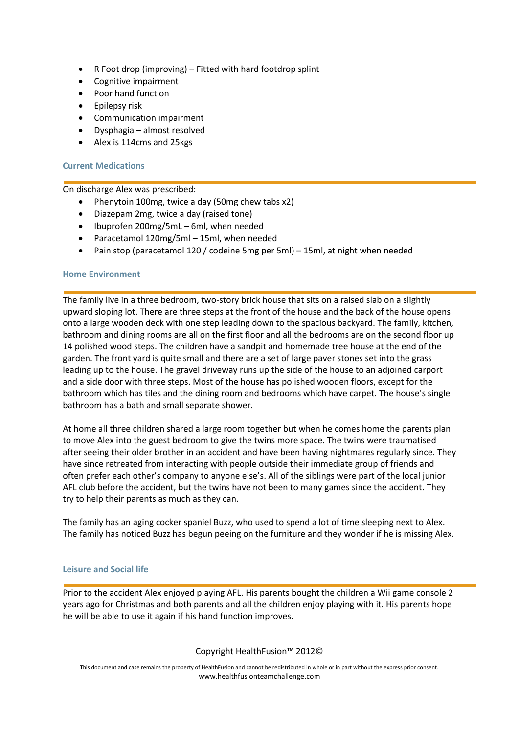- R Foot drop (improving) Fitted with hard footdrop splint
- Cognitive impairment
- Poor hand function
- Epilepsy risk
- Communication impairment
- Dysphagia almost resolved
- Alex is 114cms and 25kgs

## **Current Medications**

On discharge Alex was prescribed:

- Phenytoin 100mg, twice a day (50mg chew tabs x2)
- Diazepam 2mg, twice a day (raised tone)
- Ibuprofen 200mg/5mL 6ml, when needed
- Paracetamol 120mg/5ml 15ml, when needed
- Pain stop (paracetamol 120 / codeine 5mg per 5ml) 15ml, at night when needed

### **Home Environment**

The family live in a three bedroom, two-story brick house that sits on a raised slab on a slightly upward sloping lot. There are three steps at the front of the house and the back of the house opens onto a large wooden deck with one step leading down to the spacious backyard. The family, kitchen, bathroom and dining rooms are all on the first floor and all the bedrooms are on the second floor up 14 polished wood steps. The children have a sandpit and homemade tree house at the end of the garden. The front yard is quite small and there are a set of large paver stones set into the grass leading up to the house. The gravel driveway runs up the side of the house to an adjoined carport and a side door with three steps. Most of the house has polished wooden floors, except for the bathroom which has tiles and the dining room and bedrooms which have carpet. The house's single bathroom has a bath and small separate shower.

At home all three children shared a large room together but when he comes home the parents plan to move Alex into the guest bedroom to give the twins more space. The twins were traumatised after seeing their older brother in an accident and have been having nightmares regularly since. They have since retreated from interacting with people outside their immediate group of friends and often prefer each other's company to anyone else's. All of the siblings were part of the local junior AFL club before the accident, but the twins have not been to many games since the accident. They try to help their parents as much as they can.

The family has an aging cocker spaniel Buzz, who used to spend a lot of time sleeping next to Alex. The family has noticed Buzz has begun peeing on the furniture and they wonder if he is missing Alex.

#### **Leisure and Social life**

Prior to the accident Alex enjoyed playing AFL. His parents bought the children a Wii game console 2 years ago for Christmas and both parents and all the children enjoy playing with it. His parents hope he will be able to use it again if his hand function improves.

## Copyright HealthFusion™ 2012©